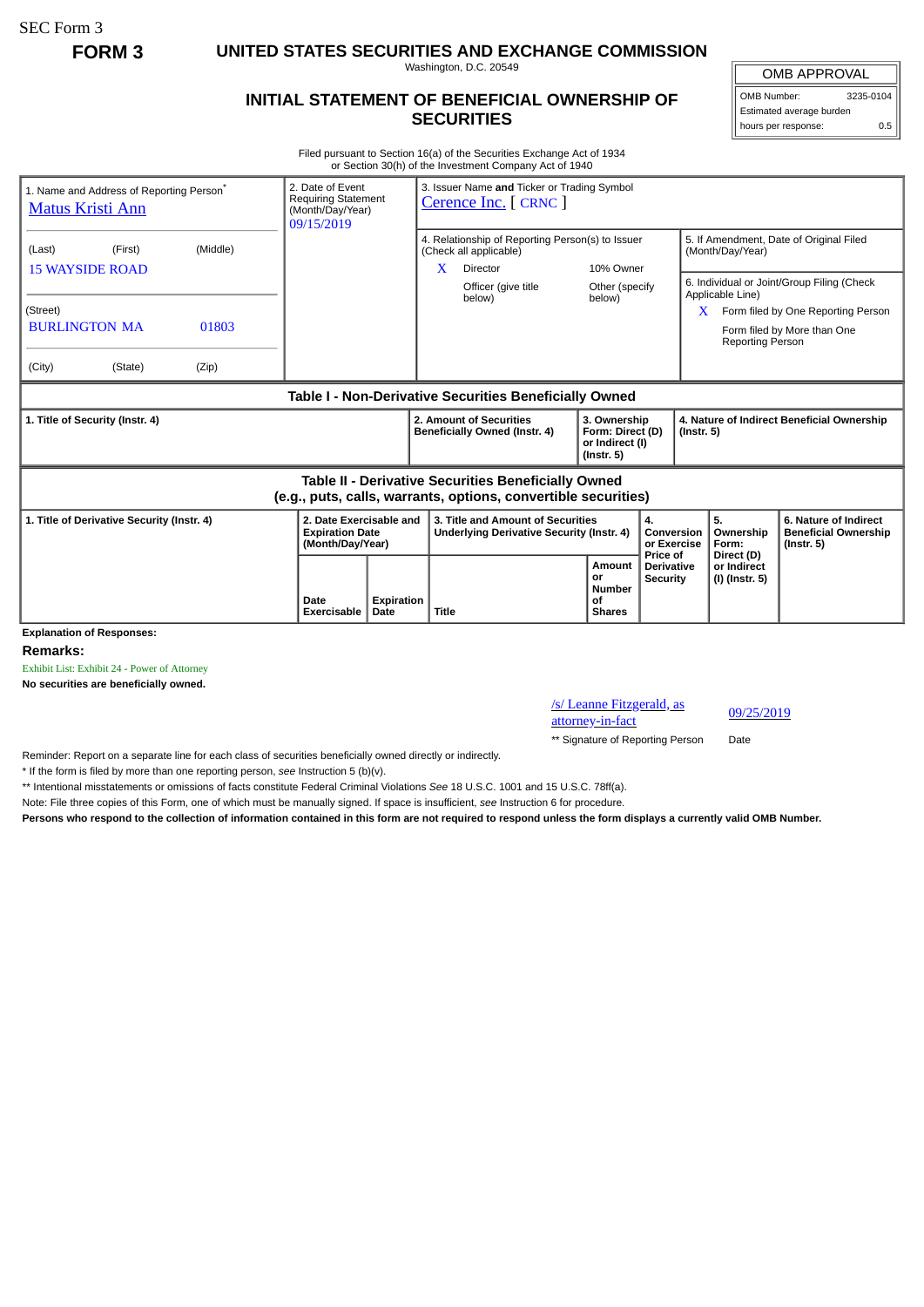SEC Form 3

**FORM 3 UNITED STATES SECURITIES AND EXCHANGE COMMISSION**

Washington, D.C. 20549

## **INITIAL STATEMENT OF BENEFICIAL OWNERSHIP OF SECURITIES**

OMB APPROVAL OMB Number: 3235-0104

Estimated average burden hours per response: 0.5

Filed pursuant to Section 16(a) of the Securities Exchange Act of 1934 or Section 30(h) of the Investment Company Act of 1940

| 1. Name and Address of Reporting Person <sup>®</sup><br><b>Matus Kristi Ann</b>                                       | 2. Date of Event<br><b>Requiring Statement</b><br>(Month/Day/Year)<br>09/15/2019 |                           | 3. Issuer Name and Ticker or Trading Symbol<br>Cerence Inc. [ CRNC ]                        |                                                                         |                                                  |                                                                |                                                                                                                 |  |
|-----------------------------------------------------------------------------------------------------------------------|----------------------------------------------------------------------------------|---------------------------|---------------------------------------------------------------------------------------------|-------------------------------------------------------------------------|--------------------------------------------------|----------------------------------------------------------------|-----------------------------------------------------------------------------------------------------------------|--|
| (Middle)<br>(Last)<br>(First)<br><b>15 WAYSIDE ROAD</b>                                                               |                                                                                  |                           | 4. Relationship of Reporting Person(s) to Issuer<br>(Check all applicable)<br>X<br>Director | 10% Owner                                                               |                                                  | 5. If Amendment, Date of Original Filed<br>(Month/Day/Year)    |                                                                                                                 |  |
| (Street)<br><b>BURLINGTON MA</b><br>01803<br>(City)<br>(Zip)<br>(State)                                               |                                                                                  |                           | Officer (give title<br>below)                                                               | Other (specify<br>below)                                                |                                                  | Applicable Line)<br><b>Reporting Person</b>                    | 6. Individual or Joint/Group Filing (Check<br>Form filed by One Reporting Person<br>Form filed by More than One |  |
| Table I - Non-Derivative Securities Beneficially Owned                                                                |                                                                                  |                           |                                                                                             |                                                                         |                                                  |                                                                |                                                                                                                 |  |
| 1. Title of Security (Instr. 4)                                                                                       |                                                                                  |                           | 2. Amount of Securities<br>Beneficially Owned (Instr. 4)                                    | 3. Ownership<br>Form: Direct (D)<br>or Indirect (I)<br>$($ lnstr. 5 $)$ |                                                  | 4. Nature of Indirect Beneficial Ownership<br>$($ Instr. 5 $)$ |                                                                                                                 |  |
| Table II - Derivative Securities Beneficially Owned<br>(e.g., puts, calls, warrants, options, convertible securities) |                                                                                  |                           |                                                                                             |                                                                         |                                                  |                                                                |                                                                                                                 |  |
| 1. Title of Derivative Security (Instr. 4)                                                                            | 2. Date Exercisable and<br><b>Expiration Date</b><br>(Month/Day/Year)            |                           | 3. Title and Amount of Securities<br>Underlying Derivative Security (Instr. 4)              |                                                                         | 4.<br>Conversion<br>or Exercise                  | 5.<br>Ownership<br>Form:                                       | 6. Nature of Indirect<br><b>Beneficial Ownership</b><br>$($ lnstr. 5 $)$                                        |  |
| <b>Explanation of Responses:</b>                                                                                      | Date<br>Exercisable                                                              | <b>Expiration</b><br>Date | Title                                                                                       | <b>Amount</b><br>or<br><b>Number</b><br>οf<br><b>Shares</b>             | Price of<br><b>Derivative</b><br><b>Security</b> | Direct (D)<br>or Indirect<br>(I) (Instr. 5)                    |                                                                                                                 |  |

**Remarks:**

Exhibit List: Exhibit 24 - Power of Attorney

**No securities are beneficially owned.**

/s/ Leanne Fitzgerald, as <u>s/ Leanne Fitzgerald, as</u><br>attorney-in-fact<br>discrepance of 09/25/2019

\*\* Signature of Reporting Person Date

Reminder: Report on a separate line for each class of securities beneficially owned directly or indirectly.

\* If the form is filed by more than one reporting person, *see* Instruction 5 (b)(v).

\*\* Intentional misstatements or omissions of facts constitute Federal Criminal Violations *See* 18 U.S.C. 1001 and 15 U.S.C. 78ff(a).

Note: File three copies of this Form, one of which must be manually signed. If space is insufficient, *see* Instruction 6 for procedure.

**Persons who respond to the collection of information contained in this form are not required to respond unless the form displays a currently valid OMB Number.**